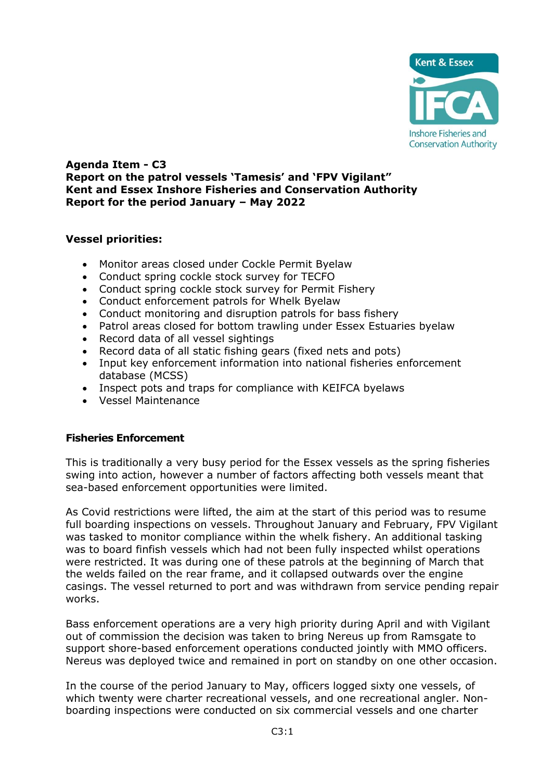

### **Agenda Item - C3 Report on the patrol vessels 'Tamesis' and 'FPV Vigilant" Kent and Essex Inshore Fisheries and Conservation Authority Report for the period January – May 2022**

# **Vessel priorities:**

- Monitor areas closed under Cockle Permit Byelaw
- Conduct spring cockle stock survey for TECFO
- Conduct spring cockle stock survey for Permit Fishery
- Conduct enforcement patrols for Whelk Byelaw
- Conduct monitoring and disruption patrols for bass fishery
- Patrol areas closed for bottom trawling under Essex Estuaries byelaw
- Record data of all vessel sightings
- Record data of all static fishing gears (fixed nets and pots)
- Input key enforcement information into national fisheries enforcement database (MCSS)
- Inspect pots and traps for compliance with KEIFCA byelaws
- Vessel Maintenance

## **Fisheries Enforcement**

This is traditionally a very busy period for the Essex vessels as the spring fisheries swing into action, however a number of factors affecting both vessels meant that sea-based enforcement opportunities were limited.

As Covid restrictions were lifted, the aim at the start of this period was to resume full boarding inspections on vessels. Throughout January and February, FPV Vigilant was tasked to monitor compliance within the whelk fishery. An additional tasking was to board finfish vessels which had not been fully inspected whilst operations were restricted. It was during one of these patrols at the beginning of March that the welds failed on the rear frame, and it collapsed outwards over the engine casings. The vessel returned to port and was withdrawn from service pending repair works.

Bass enforcement operations are a very high priority during April and with Vigilant out of commission the decision was taken to bring Nereus up from Ramsgate to support shore-based enforcement operations conducted jointly with MMO officers. Nereus was deployed twice and remained in port on standby on one other occasion.

In the course of the period January to May, officers logged sixty one vessels, of which twenty were charter recreational vessels, and one recreational angler. Nonboarding inspections were conducted on six commercial vessels and one charter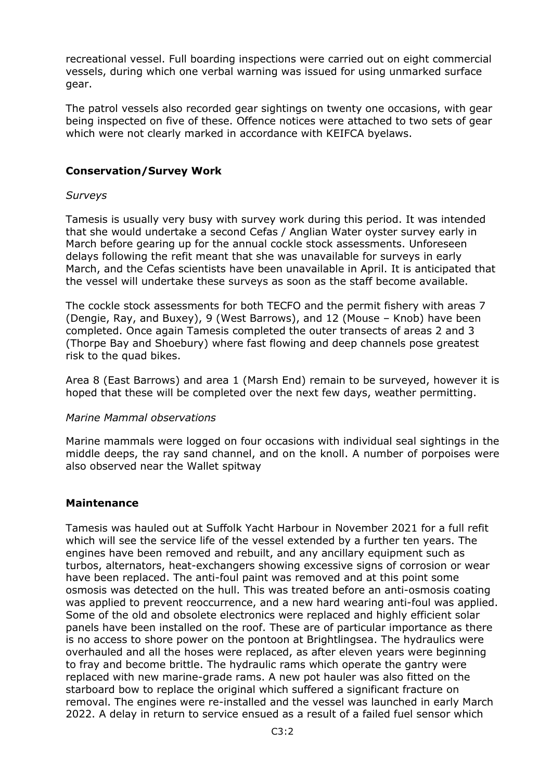recreational vessel. Full boarding inspections were carried out on eight commercial vessels, during which one verbal warning was issued for using unmarked surface gear.

The patrol vessels also recorded gear sightings on twenty one occasions, with gear being inspected on five of these. Offence notices were attached to two sets of gear which were not clearly marked in accordance with KEIFCA byelaws.

## **Conservation/Survey Work**

#### *Surveys*

Tamesis is usually very busy with survey work during this period. It was intended that she would undertake a second Cefas / Anglian Water oyster survey early in March before gearing up for the annual cockle stock assessments. Unforeseen delays following the refit meant that she was unavailable for surveys in early March, and the Cefas scientists have been unavailable in April. It is anticipated that the vessel will undertake these surveys as soon as the staff become available.

The cockle stock assessments for both TECFO and the permit fishery with areas 7 (Dengie, Ray, and Buxey), 9 (West Barrows), and 12 (Mouse – Knob) have been completed. Once again Tamesis completed the outer transects of areas 2 and 3 (Thorpe Bay and Shoebury) where fast flowing and deep channels pose greatest risk to the quad bikes.

Area 8 (East Barrows) and area 1 (Marsh End) remain to be surveyed, however it is hoped that these will be completed over the next few days, weather permitting.

#### *Marine Mammal observations*

Marine mammals were logged on four occasions with individual seal sightings in the middle deeps, the ray sand channel, and on the knoll. A number of porpoises were also observed near the Wallet spitway

#### **Maintenance**

Tamesis was hauled out at Suffolk Yacht Harbour in November 2021 for a full refit which will see the service life of the vessel extended by a further ten years. The engines have been removed and rebuilt, and any ancillary equipment such as turbos, alternators, heat-exchangers showing excessive signs of corrosion or wear have been replaced. The anti-foul paint was removed and at this point some osmosis was detected on the hull. This was treated before an anti-osmosis coating was applied to prevent reoccurrence, and a new hard wearing anti-foul was applied. Some of the old and obsolete electronics were replaced and highly efficient solar panels have been installed on the roof. These are of particular importance as there is no access to shore power on the pontoon at Brightlingsea. The hydraulics were overhauled and all the hoses were replaced, as after eleven years were beginning to fray and become brittle. The hydraulic rams which operate the gantry were replaced with new marine-grade rams. A new pot hauler was also fitted on the starboard bow to replace the original which suffered a significant fracture on removal. The engines were re-installed and the vessel was launched in early March 2022. A delay in return to service ensued as a result of a failed fuel sensor which